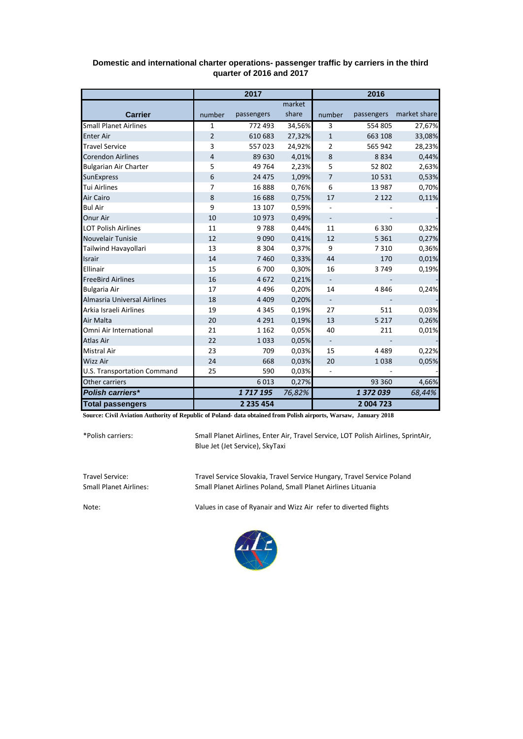|                                    | 2017           |               |        | 2016                     |            |              |
|------------------------------------|----------------|---------------|--------|--------------------------|------------|--------------|
|                                    |                |               | market |                          |            |              |
| <b>Carrier</b>                     | number         | passengers    | share  | number                   | passengers | market share |
| <b>Small Planet Airlines</b>       | $\mathbf{1}$   | 772 493       | 34,56% | 3                        | 554 805    | 27,67%       |
| <b>Enter Air</b>                   | $\overline{2}$ | 610 683       | 27,32% | $\mathbf{1}$             | 663 108    | 33,08%       |
| <b>Travel Service</b>              | 3              | 557023        | 24,92% | $\overline{2}$           | 565 942    | 28,23%       |
| <b>Corendon Airlines</b>           | 4              | 89 630        | 4,01%  | 8                        | 8834       | 0,44%        |
| <b>Bulgarian Air Charter</b>       | 5              | 49 7 64       | 2,23%  | 5                        | 52 802     | 2,63%        |
| <b>SunExpress</b>                  | 6              | 24 4 7 5      | 1,09%  | 7                        | 10 5 31    | 0,53%        |
| <b>Tui Airlines</b>                | $\overline{7}$ | 16888         | 0,76%  | 6                        | 13 987     | 0,70%        |
| Air Cairo                          | 8              | 16 688        | 0,75%  | 17                       | 2 1 2 2    | 0,11%        |
| <b>Bul Air</b>                     | 9              | 13 107        | 0,59%  |                          |            |              |
| <b>Onur Air</b>                    | 10             | 10973         | 0,49%  | $\overline{\phantom{a}}$ |            |              |
| <b>LOT Polish Airlines</b>         | 11             | 9788          | 0,44%  | 11                       | 6330       | 0,32%        |
| Nouvelair Tunisie                  | 12             | 9090          | 0,41%  | 12                       | 5 3 6 1    | 0,27%        |
| Tailwind Havayollari               | 13             | 8 3 0 4       | 0,37%  | 9                        | 7310       | 0,36%        |
| Israir                             | 14             | 7460          | 0,33%  | 44                       | 170        | 0,01%        |
| Ellinair                           | 15             | 6700          | 0,30%  | 16                       | 3749       | 0,19%        |
| <b>FreeBird Airlines</b>           | 16             | 4672          | 0,21%  | $\overline{\phantom{a}}$ |            |              |
| <b>Bulgaria Air</b>                | 17             | 4496          | 0,20%  | 14                       | 4846       | 0,24%        |
| Almasria Universal Airlines        | 18             | 4 4 0 9       | 0,20%  |                          |            |              |
| Arkia Israeli Airlines             | 19             | 4 3 4 5       | 0,19%  | 27                       | 511        | 0,03%        |
| Air Malta                          | 20             | 4 2 9 1       | 0,19%  | 13                       | 5 2 1 7    | 0,26%        |
| Omni Air International             | 21             | 1 1 6 2       | 0,05%  | 40                       | 211        | 0,01%        |
| <b>Atlas Air</b>                   | 22             | 1033          | 0,05%  | $\overline{\phantom{0}}$ |            |              |
| <b>Mistral Air</b>                 | 23             | 709           | 0,03%  | 15                       | 4 4 8 9    | 0,22%        |
| <b>Wizz Air</b>                    | 24             | 668           | 0,03%  | 20                       | 1038       | 0,05%        |
| <b>U.S. Transportation Command</b> | 25             | 590           | 0,03%  | $\overline{\phantom{a}}$ |            |              |
| Other carriers                     |                | 6013          | 0,27%  |                          | 93 360     | 4,66%        |
| Polish carriers*                   |                | 1717195       | 76,82% |                          | 1 372 039  | 68,44%       |
| <b>Total passengers</b>            |                | 2 2 3 5 4 5 4 |        |                          | 2 004 723  |              |

## **Domestic and international charter operations- passenger traffic by carriers in the third quarter of 2016 and 2017**

**Source: Civil Aviation Authority of Republic of Poland- data obtained from Polish airports, Warsaw, January 2018**

\*Polish carriers:

Small Planet Airlines, Enter Air, Travel Service, LOT Polish Airlines, SprintAir, Blue Jet (Jet Service), SkyTaxi

Travel Service: Travel Service Slovakia, Travel Service Hungary, Travel Service Poland Small Planet Airlines Poland, Small Planet Airlines Lituania

Note: Values in case of Ryanair and Wizz Air refer to diverted flights